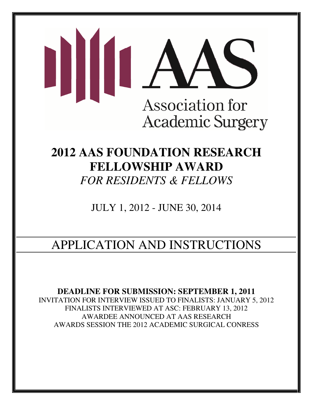

# **2012 AAS FOUNDATION RESEARCH FELLOWSHIP AWARD**

*FOR RESIDENTS & FELLOWS* 

JULY 1, 2012 - JUNE 30, 2014

# APPLICATION AND INSTRUCTIONS

**DEADLINE FOR SUBMISSION: SEPTEMBER 1, 2011**  INVITATION FOR INTERVIEW ISSUED TO FINALISTS: JANUARY 5, 2012 FINALISTS INTERVIEWED AT ASC: FEBRUARY 13, 2012 AWARDEE ANNOUNCED AT AAS RESEARCH AWARDS SESSION THE 2012 ACADEMIC SURGICAL CONRESS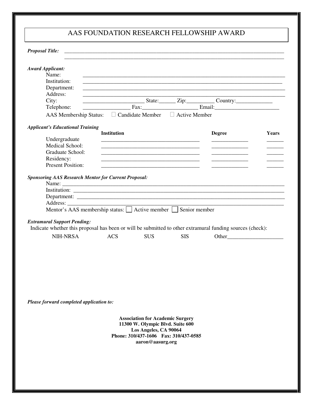## AAS FOUNDATION RESEARCH FELLOWSHIP AWARD

| <b>Proposal Title:</b>                                                                                                                                                                                                                                                             |                                                                                                                                                                                                                                      |                                           |                             |               |       |
|------------------------------------------------------------------------------------------------------------------------------------------------------------------------------------------------------------------------------------------------------------------------------------|--------------------------------------------------------------------------------------------------------------------------------------------------------------------------------------------------------------------------------------|-------------------------------------------|-----------------------------|---------------|-------|
| <b>Award Applicant:</b><br>Name:<br>Institution:<br>Department:<br>Address:<br>City:                                                                                                                                                                                               |                                                                                                                                                                                                                                      |                                           |                             |               |       |
| Telephone:<br>AAS Membership Status: Candidate Member Active Member                                                                                                                                                                                                                | <u> Email: Email: Email: Email: Email: Email: Email: Email: Email: Email: Email: Email: Email: Email: Email: Email: Email: Email: Email: Email: Email: Email: Email: Email: Email: Email: Email: Email: Email: Email: Email: Ema</u> |                                           |                             |               |       |
| <b>Applicant's Educational Training</b>                                                                                                                                                                                                                                            | <b>Institution</b>                                                                                                                                                                                                                   |                                           |                             | <b>Degree</b> | Years |
| Undergraduate<br>Medical School:<br>Graduate School:<br>Residency:<br><b>Present Position:</b>                                                                                                                                                                                     | <u> 1989 - Johann John Stone, mensk politik (f. 1989)</u>                                                                                                                                                                            |                                           |                             |               |       |
| <b>Sponsoring AAS Research Mentor for Current Proposal:</b><br>Mentor's AAS membership status: Active member<br><b>Extramural Support Pending:</b><br>Indicate whether this proposal has been or will be submitted to other extramural funding sources (check):<br><b>NIH-NRSA</b> | <b>ACS</b>                                                                                                                                                                                                                           | <b>SUS</b>                                | Senior member<br><b>SIS</b> |               |       |
| Please forward completed application to:                                                                                                                                                                                                                                           | <b>Association for Academic Surgery</b><br>11300 W. Olympic Blvd. Suite 600<br>Phone: 310/437-1606 Fax: 310/437-0585                                                                                                                 | Los Angeles, CA 90064<br>aaron@aasurg.org |                             |               |       |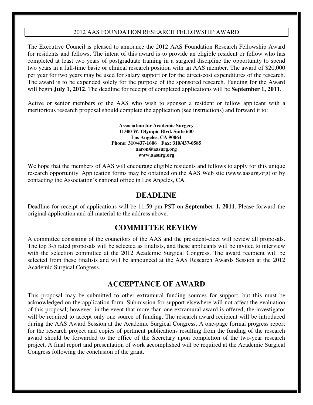#### 2012 AAS FOUNDATION RESEARCH FELLOWSHIP AWARD

The Executive Council is pleased to announce the 2012 AAS Foundation Research Fellowship Award for residents and fellows. The intent of this award is to provide an eligible resident or fellow who has completed at least two years of postgraduate training in a surgical discipline the opportunity to spend two years in a full-time basic or clinical research position with an AAS member. The award of \$20,000 per year for two years may be used for salary support or for the direct-cost expenditures of the research. The award is to be expended solely for the purpose of the sponsored research. Funding for the Award will begin **July 1, 2012**. The deadline for receipt of completed applications will be **September 1, 2011**.

Active or senior members of the AAS who wish to sponsor a resident or fellow applicant with a meritorious research proposal should complete the application (see instructions) and forward it to:

> **Association for Academic Surgery 11300 W. Olympic Blvd. Suite 600 Los Angeles, CA 90064 Phone: 310/437-1606 Fax: 310/437-0585 aaron@aasurg.org www.aasurg.org**

We hope that the members of AAS will encourage eligible residents and fellows to apply for this unique research opportunity. Application forms may be obtained on the AAS Web site (www.aasurg.org) or by contacting the Association's national office in Los Angeles, CA.

#### **DEADLINE**

Deadline for receipt of applications will be 11:59 pm PST on **September 1, 2011**. Please forward the original application and all material to the address above.

### **COMMITTEE REVIEW**

A committee consisting of the councilors of the AAS and the president-elect will review all proposals. The top 3-5 rated proposals will be selected as finalists, and these applicants will be invited to interview with the selection committee at the 2012 Academic Surgical Congress. The award recipient will be selected from these finalists and will be announced at the AAS Research Awards Session at the 2012 Academic Surgical Congress.

### **ACCEPTANCE OF AWARD**

This proposal may be submitted to other extramural funding sources for support, but this must be acknowledged on the application form. Submission for support elsewhere will not affect the evaluation of this proposal; however, in the event that more than one extramural award is offered, the investigator will be required to accept only one source of funding. The research award recipient will be introduced during the AAS Award Session at the Academic Surgical Congress. A one-page formal progress report for the research project and copies of pertinent publications resulting from the funding of the research award should be forwarded to the office of the Secretary upon completion of the two-year research project. A final report and presentation of work accomplished will be required at the Academic Surgical Congress following the conclusion of the grant.